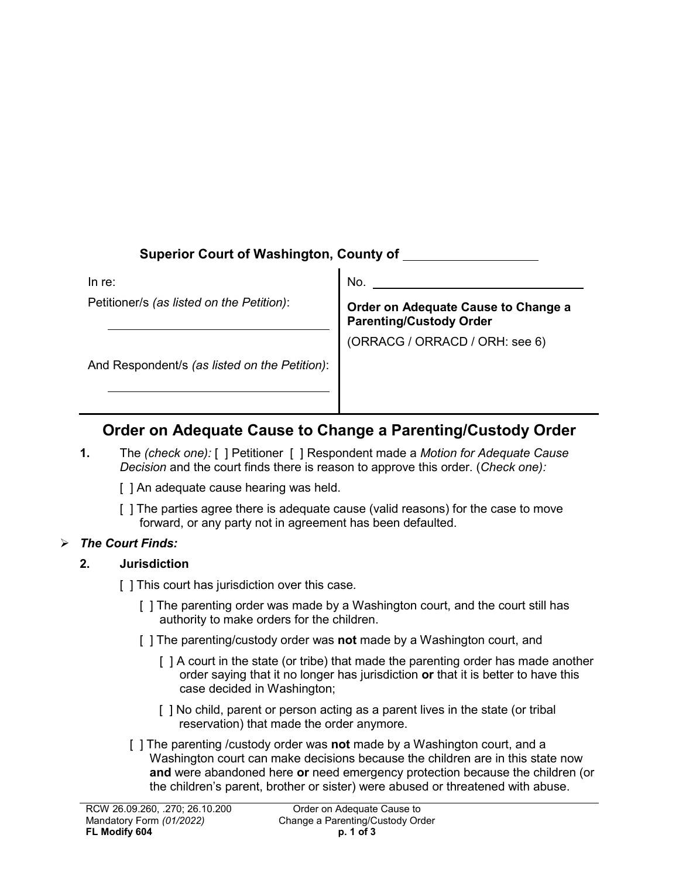# **Superior Court of Washington, County of**

In re:

Petitioner/s *(as listed on the Petition)*:

No.

**Order on Adequate Cause to Change a Parenting/Custody Order**

(ORRACG / ORRACD / ORH: see 6)

And Respondent/s *(as listed on the Petition)*:

# **Order on Adequate Cause to Change a Parenting/Custody Order**

**1.** The *(check one):* [ ] Petitioner [ ] Respondent made a *Motion for Adequate Cause Decision* and the court finds there is reason to approve this order. (*Check one):*

[ ] An adequate cause hearing was held.

[ ] The parties agree there is adequate cause (valid reasons) for the case to move forward, or any party not in agreement has been defaulted.

# *The Court Finds:*

### **2. Jurisdiction**

- [ ] This court has jurisdiction over this case.
	- [ ] The parenting order was made by a Washington court, and the court still has authority to make orders for the children.
	- [ ] The parenting/custody order was **not** made by a Washington court, and
		- [ ] A court in the state (or tribe) that made the parenting order has made another order saying that it no longer has jurisdiction **or** that it is better to have this case decided in Washington;
		- [ ] No child, parent or person acting as a parent lives in the state (or tribal reservation) that made the order anymore.
	- [ ] The parenting /custody order was **not** made by a Washington court, and a Washington court can make decisions because the children are in this state now **and** were abandoned here **or** need emergency protection because the children (or the children's parent, brother or sister) were abused or threatened with abuse.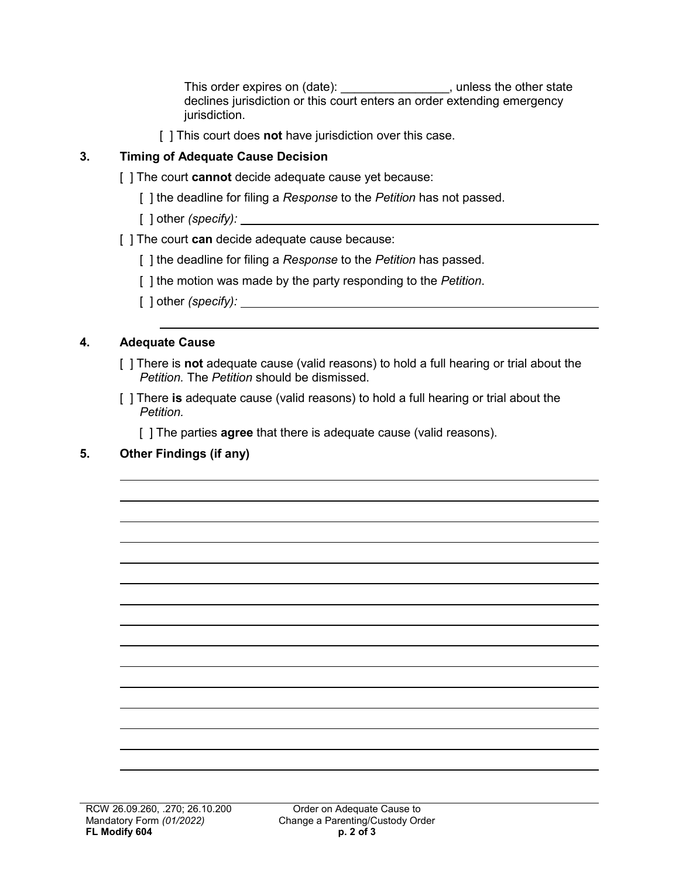This order expires on (date): \_\_\_\_\_\_\_\_\_\_\_\_\_\_\_\_\_, unless the other state declines jurisdiction or this court enters an order extending emergency jurisdiction.

[ ] This court does **not** have jurisdiction over this case.

### **3. Timing of Adequate Cause Decision**

- [ ] The court **cannot** decide adequate cause yet because:
	- [ ] the deadline for filing a *Response* to the *Petition* has not passed.
	- [ ] other *(specify):*
- [ ] The court **can** decide adequate cause because:
	- [ ] the deadline for filing a *Response* to the *Petition* has passed.
	- [ ] the motion was made by the party responding to the *Petition*.
	- [ ] other *(specify):*

### **4. Adequate Cause**

- [ ] There is **not** adequate cause (valid reasons) to hold a full hearing or trial about the *Petition.* The *Petition* should be dismissed.
- [ ] There **is** adequate cause (valid reasons) to hold a full hearing or trial about the *Petition.*

[ ] The parties **agree** that there is adequate cause (valid reasons).

# **5. Other Findings (if any)**